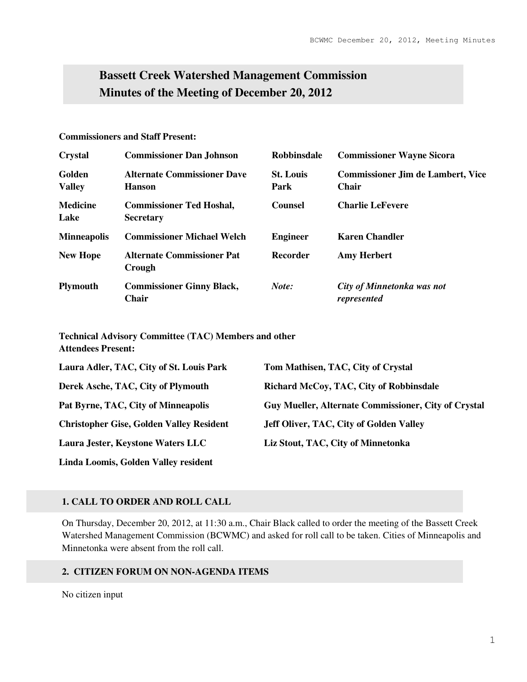# **Bassett Creek Watershed Management Commission Minutes of the Meeting of December 20, 2012**

# **Commissioners and Staff Present:**

| <b>Crystal</b>          | <b>Commissioner Dan Johnson</b>                     | <b>Robbinsdale</b>       | <b>Commissioner Wayne Sicora</b>                         |
|-------------------------|-----------------------------------------------------|--------------------------|----------------------------------------------------------|
| Golden<br><b>Valley</b> | <b>Alternate Commissioner Dave</b><br><b>Hanson</b> | <b>St. Louis</b><br>Park | <b>Commissioner Jim de Lambert, Vice</b><br><b>Chair</b> |
| <b>Medicine</b><br>Lake | <b>Commissioner Ted Hoshal,</b><br><b>Secretary</b> | <b>Counsel</b>           | <b>Charlie LeFevere</b>                                  |
| <b>Minneapolis</b>      | <b>Commissioner Michael Welch</b>                   | <b>Engineer</b>          | <b>Karen Chandler</b>                                    |
| <b>New Hope</b>         | <b>Alternate Commissioner Pat</b><br>Crough         | Recorder                 | <b>Amy Herbert</b>                                       |
| <b>Plymouth</b>         | <b>Commissioner Ginny Black,</b><br>Chair           | Note:                    | City of Minnetonka was not<br>represented                |

**Technical Advisory Committee (TAC) Members and other Attendees Present:** 

| Laura Adler, TAC, City of St. Louis Park        | Tom Mathisen, TAC, City of Crystal                   |
|-------------------------------------------------|------------------------------------------------------|
| Derek Asche, TAC, City of Plymouth              | Richard McCoy, TAC, City of Robbinsdale              |
| Pat Byrne, TAC, City of Minneapolis             | Guy Mueller, Alternate Commissioner, City of Crystal |
| <b>Christopher Gise, Golden Valley Resident</b> | Jeff Oliver, TAC, City of Golden Valley              |
| Laura Jester, Keystone Waters LLC               | Liz Stout, TAC, City of Minnetonka                   |
| Linda Loomis, Golden Valley resident            |                                                      |

# **1. CALL TO ORDER AND ROLL CALL**

On Thursday, December 20, 2012, at 11:30 a.m., Chair Black called to order the meeting of the Bassett Creek Watershed Management Commission (BCWMC) and asked for roll call to be taken. Cities of Minneapolis and Minnetonka were absent from the roll call.

# **2. CITIZEN FORUM ON NON-AGENDA ITEMS**

No citizen input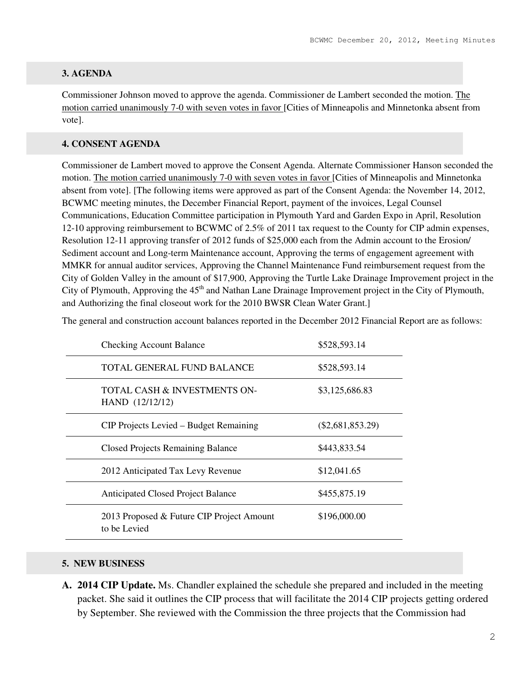# **3. AGENDA**

Commissioner Johnson moved to approve the agenda. Commissioner de Lambert seconded the motion. The motion carried unanimously 7-0 with seven votes in favor [Cities of Minneapolis and Minnetonka absent from vote].

# **4. CONSENT AGENDA**

Commissioner de Lambert moved to approve the Consent Agenda. Alternate Commissioner Hanson seconded the motion. The motion carried unanimously 7-0 with seven votes in favor [Cities of Minneapolis and Minnetonka absent from vote]. [The following items were approved as part of the Consent Agenda: the November 14, 2012, BCWMC meeting minutes, the December Financial Report, payment of the invoices, Legal Counsel Communications, Education Committee participation in Plymouth Yard and Garden Expo in April, Resolution 12-10 approving reimbursement to BCWMC of 2.5% of 2011 tax request to the County for CIP admin expenses, Resolution 12-11 approving transfer of 2012 funds of \$25,000 each from the Admin account to the Erosion/ Sediment account and Long-term Maintenance account, Approving the terms of engagement agreement with MMKR for annual auditor services, Approving the Channel Maintenance Fund reimbursement request from the City of Golden Valley in the amount of \$17,900, Approving the Turtle Lake Drainage Improvement project in the City of Plymouth, Approving the 45<sup>th</sup> and Nathan Lane Drainage Improvement project in the City of Plymouth, and Authorizing the final closeout work for the 2010 BWSR Clean Water Grant.]

The general and construction account balances reported in the December 2012 Financial Report are as follows:

| <b>Checking Account Balance</b>                           | \$528,593.14       |
|-----------------------------------------------------------|--------------------|
| TOTAL GENERAL FUND BALANCE                                | \$528,593.14       |
| TOTAL CASH & INVESTMENTS ON-<br>HAND (12/12/12)           | \$3,125,686.83     |
| CIP Projects Levied – Budget Remaining                    | $(\$2,681,853.29)$ |
| <b>Closed Projects Remaining Balance</b>                  | \$443,833.54       |
| 2012 Anticipated Tax Levy Revenue                         | \$12,041.65        |
| <b>Anticipated Closed Project Balance</b>                 | \$455,875.19       |
| 2013 Proposed & Future CIP Project Amount<br>to be Levied | \$196,000.00       |

#### **5. NEW BUSINESS**

**A. 2014 CIP Update.** Ms. Chandler explained the schedule she prepared and included in the meeting packet. She said it outlines the CIP process that will facilitate the 2014 CIP projects getting ordered by September. She reviewed with the Commission the three projects that the Commission had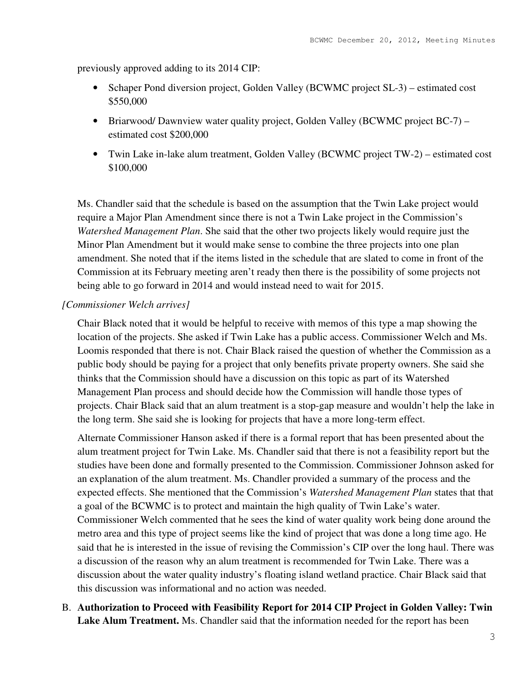previously approved adding to its 2014 CIP:

- Schaper Pond diversion project, Golden Valley (BCWMC project SL-3) estimated cost \$550,000
- Briarwood/Dawnview water quality project, Golden Valley (BCWMC project BC-7) estimated cost \$200,000
- Twin Lake in-lake alum treatment, Golden Valley (BCWMC project TW-2) estimated cost \$100,000

Ms. Chandler said that the schedule is based on the assumption that the Twin Lake project would require a Major Plan Amendment since there is not a Twin Lake project in the Commission's *Watershed Management Plan*. She said that the other two projects likely would require just the Minor Plan Amendment but it would make sense to combine the three projects into one plan amendment. She noted that if the items listed in the schedule that are slated to come in front of the Commission at its February meeting aren't ready then there is the possibility of some projects not being able to go forward in 2014 and would instead need to wait for 2015.

# *[Commissioner Welch arrives]*

Chair Black noted that it would be helpful to receive with memos of this type a map showing the location of the projects. She asked if Twin Lake has a public access. Commissioner Welch and Ms. Loomis responded that there is not. Chair Black raised the question of whether the Commission as a public body should be paying for a project that only benefits private property owners. She said she thinks that the Commission should have a discussion on this topic as part of its Watershed Management Plan process and should decide how the Commission will handle those types of projects. Chair Black said that an alum treatment is a stop-gap measure and wouldn't help the lake in the long term. She said she is looking for projects that have a more long-term effect.

Alternate Commissioner Hanson asked if there is a formal report that has been presented about the alum treatment project for Twin Lake. Ms. Chandler said that there is not a feasibility report but the studies have been done and formally presented to the Commission. Commissioner Johnson asked for an explanation of the alum treatment. Ms. Chandler provided a summary of the process and the expected effects. She mentioned that the Commission's *Watershed Management Plan* states that that a goal of the BCWMC is to protect and maintain the high quality of Twin Lake's water. Commissioner Welch commented that he sees the kind of water quality work being done around the metro area and this type of project seems like the kind of project that was done a long time ago. He said that he is interested in the issue of revising the Commission's CIP over the long haul. There was a discussion of the reason why an alum treatment is recommended for Twin Lake. There was a discussion about the water quality industry's floating island wetland practice. Chair Black said that this discussion was informational and no action was needed.

B. **Authorization to Proceed with Feasibility Report for 2014 CIP Project in Golden Valley: Twin Lake Alum Treatment.** Ms. Chandler said that the information needed for the report has been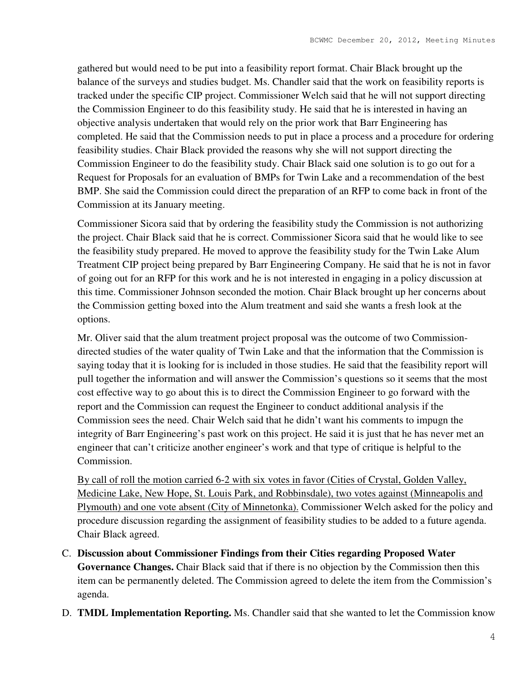gathered but would need to be put into a feasibility report format. Chair Black brought up the balance of the surveys and studies budget. Ms. Chandler said that the work on feasibility reports is tracked under the specific CIP project. Commissioner Welch said that he will not support directing the Commission Engineer to do this feasibility study. He said that he is interested in having an objective analysis undertaken that would rely on the prior work that Barr Engineering has completed. He said that the Commission needs to put in place a process and a procedure for ordering feasibility studies. Chair Black provided the reasons why she will not support directing the Commission Engineer to do the feasibility study. Chair Black said one solution is to go out for a Request for Proposals for an evaluation of BMPs for Twin Lake and a recommendation of the best BMP. She said the Commission could direct the preparation of an RFP to come back in front of the Commission at its January meeting.

Commissioner Sicora said that by ordering the feasibility study the Commission is not authorizing the project. Chair Black said that he is correct. Commissioner Sicora said that he would like to see the feasibility study prepared. He moved to approve the feasibility study for the Twin Lake Alum Treatment CIP project being prepared by Barr Engineering Company. He said that he is not in favor of going out for an RFP for this work and he is not interested in engaging in a policy discussion at this time. Commissioner Johnson seconded the motion. Chair Black brought up her concerns about the Commission getting boxed into the Alum treatment and said she wants a fresh look at the options.

Mr. Oliver said that the alum treatment project proposal was the outcome of two Commissiondirected studies of the water quality of Twin Lake and that the information that the Commission is saying today that it is looking for is included in those studies. He said that the feasibility report will pull together the information and will answer the Commission's questions so it seems that the most cost effective way to go about this is to direct the Commission Engineer to go forward with the report and the Commission can request the Engineer to conduct additional analysis if the Commission sees the need. Chair Welch said that he didn't want his comments to impugn the integrity of Barr Engineering's past work on this project. He said it is just that he has never met an engineer that can't criticize another engineer's work and that type of critique is helpful to the Commission.

By call of roll the motion carried 6-2 with six votes in favor (Cities of Crystal, Golden Valley, Medicine Lake, New Hope, St. Louis Park, and Robbinsdale), two votes against (Minneapolis and Plymouth) and one vote absent (City of Minnetonka). Commissioner Welch asked for the policy and procedure discussion regarding the assignment of feasibility studies to be added to a future agenda. Chair Black agreed.

- C. **Discussion about Commissioner Findings from their Cities regarding Proposed Water Governance Changes.** Chair Black said that if there is no objection by the Commission then this item can be permanently deleted. The Commission agreed to delete the item from the Commission's agenda.
- D. **TMDL Implementation Reporting.** Ms. Chandler said that she wanted to let the Commission know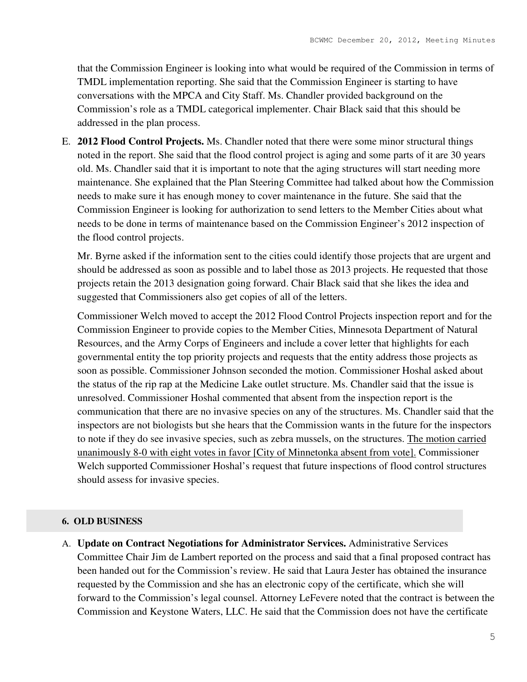that the Commission Engineer is looking into what would be required of the Commission in terms of TMDL implementation reporting. She said that the Commission Engineer is starting to have conversations with the MPCA and City Staff. Ms. Chandler provided background on the Commission's role as a TMDL categorical implementer. Chair Black said that this should be addressed in the plan process.

E. **2012 Flood Control Projects.** Ms. Chandler noted that there were some minor structural things noted in the report. She said that the flood control project is aging and some parts of it are 30 years old. Ms. Chandler said that it is important to note that the aging structures will start needing more maintenance. She explained that the Plan Steering Committee had talked about how the Commission needs to make sure it has enough money to cover maintenance in the future. She said that the Commission Engineer is looking for authorization to send letters to the Member Cities about what needs to be done in terms of maintenance based on the Commission Engineer's 2012 inspection of the flood control projects.

Mr. Byrne asked if the information sent to the cities could identify those projects that are urgent and should be addressed as soon as possible and to label those as 2013 projects. He requested that those projects retain the 2013 designation going forward. Chair Black said that she likes the idea and suggested that Commissioners also get copies of all of the letters.

Commissioner Welch moved to accept the 2012 Flood Control Projects inspection report and for the Commission Engineer to provide copies to the Member Cities, Minnesota Department of Natural Resources, and the Army Corps of Engineers and include a cover letter that highlights for each governmental entity the top priority projects and requests that the entity address those projects as soon as possible. Commissioner Johnson seconded the motion. Commissioner Hoshal asked about the status of the rip rap at the Medicine Lake outlet structure. Ms. Chandler said that the issue is unresolved. Commissioner Hoshal commented that absent from the inspection report is the communication that there are no invasive species on any of the structures. Ms. Chandler said that the inspectors are not biologists but she hears that the Commission wants in the future for the inspectors to note if they do see invasive species, such as zebra mussels, on the structures. The motion carried unanimously 8-0 with eight votes in favor [City of Minnetonka absent from vote]. Commissioner Welch supported Commissioner Hoshal's request that future inspections of flood control structures should assess for invasive species.

# **6. OLD BUSINESS**

A. **Update on Contract Negotiations for Administrator Services.** Administrative Services Committee Chair Jim de Lambert reported on the process and said that a final proposed contract has been handed out for the Commission's review. He said that Laura Jester has obtained the insurance requested by the Commission and she has an electronic copy of the certificate, which she will forward to the Commission's legal counsel. Attorney LeFevere noted that the contract is between the Commission and Keystone Waters, LLC. He said that the Commission does not have the certificate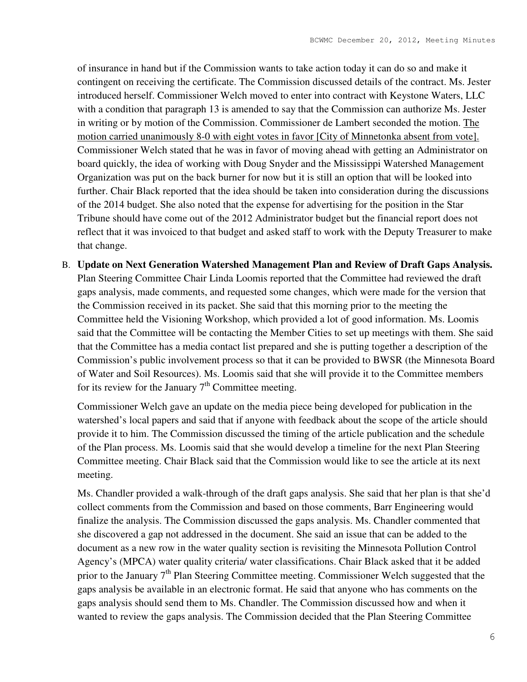of insurance in hand but if the Commission wants to take action today it can do so and make it contingent on receiving the certificate. The Commission discussed details of the contract. Ms. Jester introduced herself. Commissioner Welch moved to enter into contract with Keystone Waters, LLC with a condition that paragraph 13 is amended to say that the Commission can authorize Ms. Jester in writing or by motion of the Commission. Commissioner de Lambert seconded the motion. The motion carried unanimously 8-0 with eight votes in favor [City of Minnetonka absent from vote]. Commissioner Welch stated that he was in favor of moving ahead with getting an Administrator on board quickly, the idea of working with Doug Snyder and the Mississippi Watershed Management Organization was put on the back burner for now but it is still an option that will be looked into further. Chair Black reported that the idea should be taken into consideration during the discussions of the 2014 budget. She also noted that the expense for advertising for the position in the Star Tribune should have come out of the 2012 Administrator budget but the financial report does not reflect that it was invoiced to that budget and asked staff to work with the Deputy Treasurer to make that change.

B. **Update on Next Generation Watershed Management Plan and Review of Draft Gaps Analysis.** Plan Steering Committee Chair Linda Loomis reported that the Committee had reviewed the draft gaps analysis, made comments, and requested some changes, which were made for the version that the Commission received in its packet. She said that this morning prior to the meeting the Committee held the Visioning Workshop, which provided a lot of good information. Ms. Loomis said that the Committee will be contacting the Member Cities to set up meetings with them. She said that the Committee has a media contact list prepared and she is putting together a description of the Commission's public involvement process so that it can be provided to BWSR (the Minnesota Board of Water and Soil Resources). Ms. Loomis said that she will provide it to the Committee members for its review for the January  $7<sup>th</sup>$  Committee meeting.

Commissioner Welch gave an update on the media piece being developed for publication in the watershed's local papers and said that if anyone with feedback about the scope of the article should provide it to him. The Commission discussed the timing of the article publication and the schedule of the Plan process. Ms. Loomis said that she would develop a timeline for the next Plan Steering Committee meeting. Chair Black said that the Commission would like to see the article at its next meeting.

Ms. Chandler provided a walk-through of the draft gaps analysis. She said that her plan is that she'd collect comments from the Commission and based on those comments, Barr Engineering would finalize the analysis. The Commission discussed the gaps analysis. Ms. Chandler commented that she discovered a gap not addressed in the document. She said an issue that can be added to the document as a new row in the water quality section is revisiting the Minnesota Pollution Control Agency's (MPCA) water quality criteria/ water classifications. Chair Black asked that it be added prior to the January 7<sup>th</sup> Plan Steering Committee meeting. Commissioner Welch suggested that the gaps analysis be available in an electronic format. He said that anyone who has comments on the gaps analysis should send them to Ms. Chandler. The Commission discussed how and when it wanted to review the gaps analysis. The Commission decided that the Plan Steering Committee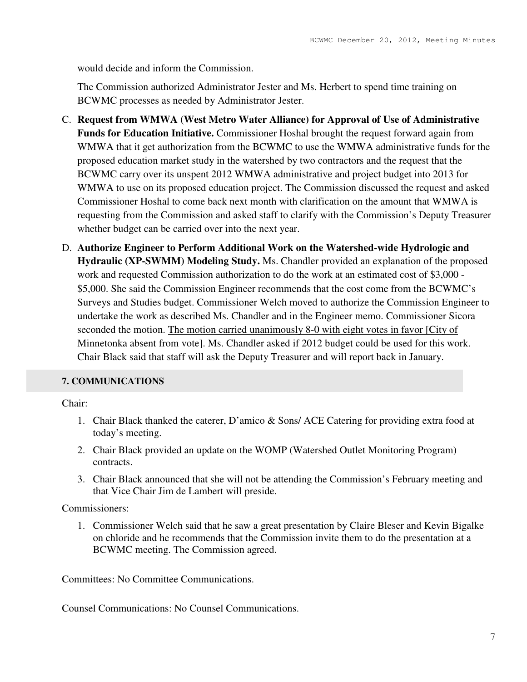would decide and inform the Commission.

The Commission authorized Administrator Jester and Ms. Herbert to spend time training on BCWMC processes as needed by Administrator Jester.

- C. **Request from WMWA (West Metro Water Alliance) for Approval of Use of Administrative Funds for Education Initiative.** Commissioner Hoshal brought the request forward again from WMWA that it get authorization from the BCWMC to use the WMWA administrative funds for the proposed education market study in the watershed by two contractors and the request that the BCWMC carry over its unspent 2012 WMWA administrative and project budget into 2013 for WMWA to use on its proposed education project. The Commission discussed the request and asked Commissioner Hoshal to come back next month with clarification on the amount that WMWA is requesting from the Commission and asked staff to clarify with the Commission's Deputy Treasurer whether budget can be carried over into the next year.
- D. **Authorize Engineer to Perform Additional Work on the Watershed-wide Hydrologic and Hydraulic (XP-SWMM) Modeling Study.** Ms. Chandler provided an explanation of the proposed work and requested Commission authorization to do the work at an estimated cost of \$3,000 - \$5,000. She said the Commission Engineer recommends that the cost come from the BCWMC's Surveys and Studies budget. Commissioner Welch moved to authorize the Commission Engineer to undertake the work as described Ms. Chandler and in the Engineer memo. Commissioner Sicora seconded the motion. The motion carried unanimously 8-0 with eight votes in favor [City of Minnetonka absent from vote]. Ms. Chandler asked if 2012 budget could be used for this work. Chair Black said that staff will ask the Deputy Treasurer and will report back in January.

# **7. COMMUNICATIONS**

Chair:

- 1. Chair Black thanked the caterer, D'amico & Sons/ ACE Catering for providing extra food at today's meeting.
- 2. Chair Black provided an update on the WOMP (Watershed Outlet Monitoring Program) contracts.
- 3. Chair Black announced that she will not be attending the Commission's February meeting and that Vice Chair Jim de Lambert will preside.

# Commissioners:

1. Commissioner Welch said that he saw a great presentation by Claire Bleser and Kevin Bigalke on chloride and he recommends that the Commission invite them to do the presentation at a BCWMC meeting. The Commission agreed.

Committees: No Committee Communications.

Counsel Communications: No Counsel Communications.